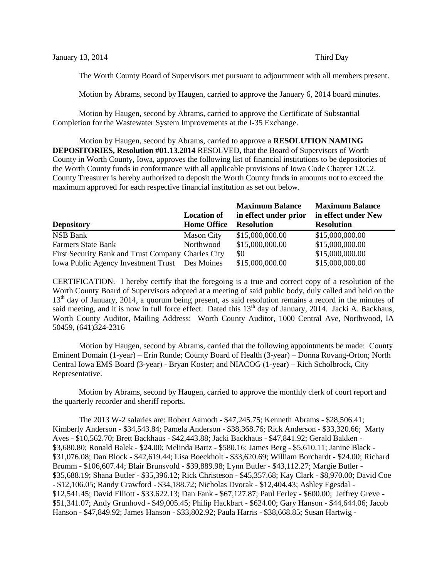The Worth County Board of Supervisors met pursuant to adjournment with all members present.

Motion by Abrams, second by Haugen, carried to approve the January 6, 2014 board minutes.

Motion by Haugen, second by Abrams, carried to approve the Certificate of Substantial Completion for the Wastewater System Improvements at the I-35 Exchange.

Motion by Haugen, second by Abrams, carried to approve a **RESOLUTION NAMING DEPOSITORIES, Resolution #01.13.2014** RESOLVED, that the Board of Supervisors of Worth County in Worth County, Iowa, approves the following list of financial institutions to be depositories of the Worth County funds in conformance with all applicable provisions of Iowa Code Chapter 12C.2. County Treasurer is hereby authorized to deposit the Worth County funds in amounts not to exceed the maximum approved for each respective financial institution as set out below.

|                                                    |                    | <b>Maximum Balance</b> | <b>Maximum Balance</b> |
|----------------------------------------------------|--------------------|------------------------|------------------------|
|                                                    | <b>Location of</b> | in effect under prior  | in effect under New    |
| <b>Depository</b>                                  | <b>Home Office</b> | <b>Resolution</b>      | <b>Resolution</b>      |
| <b>NSB Bank</b>                                    | <b>Mason City</b>  | \$15,000,000.00        | \$15,000,000.00        |
| <b>Farmers State Bank</b>                          | Northwood          | \$15,000,000.00        | \$15,000,000.00        |
| First Security Bank and Trust Company Charles City |                    | \$0                    | \$15,000,000.00        |
| Iowa Public Agency Investment Trust Des Moines     |                    | \$15,000,000.00        | \$15,000,000.00        |

CERTIFICATION. I hereby certify that the foregoing is a true and correct copy of a resolution of the Worth County Board of Supervisors adopted at a meeting of said public body, duly called and held on the 13<sup>th</sup> day of January, 2014, a quorum being present, as said resolution remains a record in the minutes of said meeting, and it is now in full force effect. Dated this 13<sup>th</sup> day of January, 2014. Jacki A. Backhaus, Worth County Auditor, Mailing Address: Worth County Auditor, 1000 Central Ave, Northwood, IA 50459, (641)324-2316

Motion by Haugen, second by Abrams, carried that the following appointments be made: County Eminent Domain (1-year) – Erin Runde; County Board of Health (3-year) – Donna Rovang-Orton; North Central Iowa EMS Board (3-year) - Bryan Koster; and NIACOG (1-year) – Rich Scholbrock, City Representative.

Motion by Abrams, second by Haugen, carried to approve the monthly clerk of court report and the quarterly recorder and sheriff reports.

The 2013 W-2 salaries are: Robert Aamodt - \$47,245.75; Kenneth Abrams - \$28,506.41; Kimberly Anderson - \$34,543.84; Pamela Anderson - \$38,368.76; Rick Anderson - \$33,320.66; Marty Aves - \$10,562.70; Brett Backhaus - \$42,443.88; Jacki Backhaus - \$47,841.92; Gerald Bakken - \$3,680.80; Ronald Balek - \$24.00; Melinda Bartz - \$580.16; James Berg - \$5,610.11; Janine Black - \$31,076.08; Dan Block - \$42,619.44; Lisa Boeckholt - \$33,620.69; William Borchardt - \$24.00; Richard Brumm - \$106,607.44; Blair Brunsvold - \$39,889.98; Lynn Butler - \$43,112.27; Margie Butler - \$35,688.19; Shana Butler - \$35,396.12; Rick Christeson - \$45,357.68; Kay Clark - \$8,970.00; David Coe - \$12,106.05; Randy Crawford - \$34,188.72; Nicholas Dvorak - \$12,404.43; Ashley Egesdal - \$12,541.45; David Elliott - \$33.622.13; Dan Fank - \$67,127.87; Paul Ferley - \$600.00; Jeffrey Greve - \$51,341.07; Andy Grunhovd - \$49,005.45; Philip Hackbart - \$624.00; Gary Hanson - \$44,644.06; Jacob Hanson - \$47,849.92; James Hanson - \$33,802.92; Paula Harris - \$38,668.85; Susan Hartwig -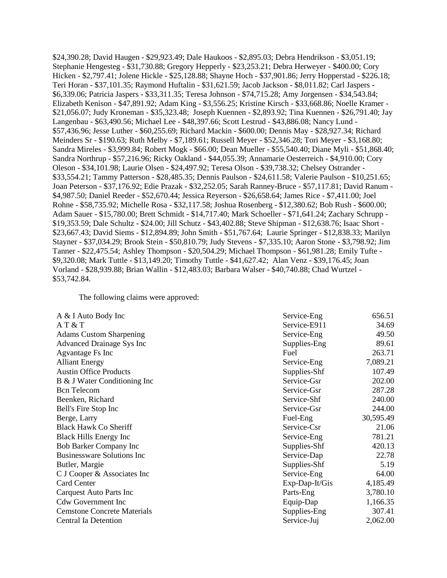\$24,390.28; David Haugen - \$29,923.49; Dale Haukoos - \$2,895.03; Debra Hendrikson - \$3,051.19; Stephanie Hengesteg - \$31,730.88; Gregory Hepperly - \$23,253.21; Debra Herweyer - \$400.00; Cory Hicken - \$2,797.41; Jolene Hickle - \$25,128.88; Shayne Hoch - \$37,901.86; Jerry Hopperstad - \$226.18; Teri Horan - \$37,101.35; Raymond Huftalin - \$31,621.59; Jacob Jackson - \$8,011.82; Carl Jaspers - \$6,339.06; Patricia Jaspers - \$33,311.35; Teresa Johnson - \$74,715.28; Amy Jorgensen - \$34,543.84; Elizabeth Kenison - \$47,891.92; Adam King - \$3,556.25; Kristine Kirsch - \$33,668.86; Noelle Kramer - \$21,056.07; Judy Kroneman - \$35,323.48; Joseph Kuennen - \$2,893.92; Tina Kuennen - \$26,791.40; Jay Langenbau - \$63,490.56; Michael Lee - \$48,397.66; Scott Lestrud - \$43,886.08; Nancy Lund - \$57,436.96; Jesse Luther - \$60,255.69; Richard Mackin - \$600.00; Dennis May - \$28,927.34; Richard Meinders Sr - \$190.63; Ruth Melby - \$7,189.61; Russell Meyer - \$52,346.28; Tori Meyer - \$3,168.80; Sandra Mireles - \$3,999.84; Robert Mogk - \$66.00; Dean Mueller - \$55,540.40; Diane Myli - \$51,868.40; Sandra Northrup - \$57,216.96; Ricky Oakland - \$44,055.39; Annamarie Oesterreich - \$4,910.00; Cory Oleson - \$34,101.98; Laurie Olsen - \$24,497.92; Teresa Olson - \$39,738.32; Chelsey Ostrander - \$33,554.21; Tammy Patterson - \$28,485.35; Dennis Paulson - \$24,611.58; Valerie Paulson - \$10,251.65; Joan Peterson - \$37,176.92; Edie Prazak - \$32,252.05; Sarah Ranney-Bruce - \$57,117.81; David Ranum - \$4,987.50; Daniel Reeder - \$52,670.44; Jessica Reyerson - \$26,658.64; James Rice - \$7,411.00; Joel Rohne - \$58,735.92; Michelle Rosa - \$32,117.58; Joshua Rosenberg - \$12,380.62; Bob Rush - \$600.00; Adam Sauer - \$15,780.00; Brett Schmidt - \$14,717.40; Mark Schoeller - \$71,641.24; Zachary Schrupp - \$19,353.59; Dale Schultz - \$24.00; Jill Schutz - \$43,402.88; Steve Shipman - \$12,638.76; Isaac Short - \$23,667.43; David Siems - \$12,894.89; John Smith - \$51,767.64; Laurie Springer - \$12,838.33; Marilyn Stayner - \$37,034.29; Brook Stein - \$50,810.79; Judy Stevens - \$7,335.10; Aaron Stone - \$3,798.92; Jim Tanner - \$22,475.54; Ashley Thompson - \$20,504.29; Michael Thompson - \$61,981.28; Emily Tufte - \$9,320.08; Mark Tuttle - \$13,149.20; Timothy Tuttle - \$41,627.42; Alan Venz - \$39,176.45; Joan Vorland - \$28,939.88; Brian Wallin - \$12,483.03; Barbara Walser - \$40,740.88; Chad Wurtzel - \$53,742.84.

The following claims were approved:

| A & I Auto Body Inc                | Service-Eng    | 656.51    |
|------------------------------------|----------------|-----------|
| AT & T                             | Service-E911   | 34.69     |
| <b>Adams Custom Sharpening</b>     | Service-Eng    | 49.50     |
| Advanced Drainage Sys Inc          | Supplies-Eng   | 89.61     |
| Agvantage Fs Inc                   | Fuel           | 263.71    |
| <b>Alliant Energy</b>              | Service-Eng    | 7,089.21  |
| <b>Austin Office Products</b>      | Supplies-Shf   | 107.49    |
| B & J Water Conditioning Inc       | Service-Gsr    | 202.00    |
| <b>Bcn</b> Telecom                 | Service-Gsr    | 287.28    |
| Beenken, Richard                   | Service-Shf    | 240.00    |
| Bell's Fire Stop Inc               | Service-Gsr    | 244.00    |
| Berge, Larry                       | Fuel-Eng       | 30,595.49 |
| <b>Black Hawk Co Sheriff</b>       | Service-Csr    | 21.06     |
| <b>Black Hills Energy Inc</b>      | Service-Eng    | 781.21    |
| <b>Bob Barker Company Inc</b>      | Supplies-Shf   | 420.13    |
| <b>Businessware Solutions Inc</b>  | Service-Dap    | 22.78     |
| Butler, Margie                     | Supplies-Shf   | 5.19      |
| C J Cooper & Associates Inc        | Service-Eng    | 64.00     |
| <b>Card Center</b>                 | Exp-Dap-It/Gis | 4,185.49  |
| Carquest Auto Parts Inc            | Parts-Eng      | 3,780.10  |
| <b>Cdw Government Inc</b>          | Equip-Dap      | 1,166.35  |
| <b>Cemstone Concrete Materials</b> | Supplies-Eng   | 307.41    |
| Central Ia Detention               | Service-Juj    | 2,062.00  |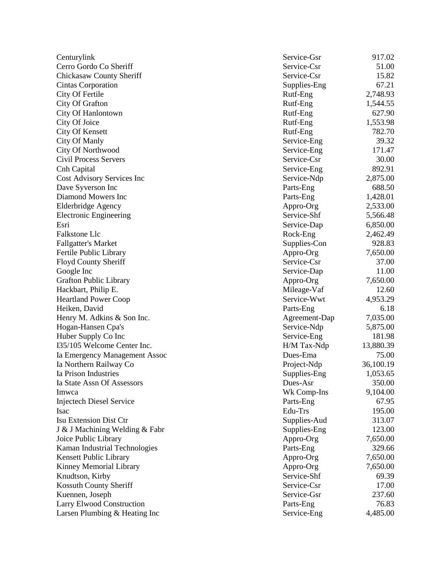| Centurylink                      | Service-Gsr   | 917.02    |
|----------------------------------|---------------|-----------|
| Cerro Gordo Co Sheriff           | Service-Csr   | 51.00     |
| <b>Chickasaw County Sheriff</b>  | Service-Csr   | 15.82     |
| <b>Cintas Corporation</b>        | Supplies-Eng  | 67.21     |
| City Of Fertile                  | Rutf-Eng      | 2,748.93  |
| City Of Grafton                  | Rutf-Eng      | 1,544.55  |
| City Of Hanlontown               | Rutf-Eng      | 627.90    |
| City Of Joice                    | Rutf-Eng      | 1,553.98  |
| City Of Kensett                  | Rutf-Eng      | 782.70    |
| <b>City Of Manly</b>             | Service-Eng   | 39.32     |
| City Of Northwood                | Service-Eng   | 171.47    |
| <b>Civil Process Servers</b>     | Service-Csr   | 30.00     |
| Cnh Capital                      | Service-Eng   | 892.91    |
| Cost Advisory Services Inc       | Service-Ndp   | 2,875.00  |
| Dave Syverson Inc                | Parts-Eng     | 688.50    |
| Diamond Mowers Inc               | Parts-Eng     | 1,428.01  |
| <b>Elderbridge Agency</b>        | Appro-Org     | 2,533.00  |
| <b>Electronic Engineering</b>    | Service-Shf   | 5,566.48  |
| Esri                             | Service-Dap   | 6,850.00  |
| Falkstone Llc                    | Rock-Eng      | 2,462.49  |
| <b>Fallgatter's Market</b>       | Supplies-Con  | 928.83    |
| Fertile Public Library           | Appro-Org     | 7,650.00  |
| Floyd County Sheriff             | Service-Csr   | 37.00     |
| Google Inc                       | Service-Dap   | 11.00     |
| <b>Grafton Public Library</b>    | Appro-Org     | 7,650.00  |
| Hackbart, Philip E.              | Mileage-Vaf   | 12.60     |
| <b>Heartland Power Coop</b>      | Service-Wwt   | 4,953.29  |
| Heiken, David                    | Parts-Eng     | 6.18      |
| Henry M. Adkins & Son Inc.       | Agreement-Dap | 7,035.00  |
| Hogan-Hansen Cpa's               | Service-Ndp   | 5,875.00  |
| Huber Supply Co Inc              | Service-Eng   | 181.98    |
| I35/105 Welcome Center Inc.      | H/M Tax-Ndp   | 13,880.39 |
| Ia Emergency Management Assoc    | Dues-Ema      | 75.00     |
| Ia Northern Railway Co           | Project-Ndp   | 36,100.19 |
| Ia Prison Industries             | Supplies-Eng  | 1,053.65  |
| Ia State Assn Of Assessors       | Dues-Asr      | 350.00    |
| Imwca                            | Wk Comp-Ins   | 9,104.00  |
| <b>Injectech Diesel Service</b>  | Parts-Eng     | 67.95     |
| Isac                             | Edu-Trs       | 195.00    |
| Isu Extension Dist Ctr           | Supplies-Aud  | 313.07    |
|                                  |               | 123.00    |
| J & J Machining Welding & Fabr   | Supplies-Eng  |           |
| Joice Public Library             | Appro-Org     | 7,650.00  |
| Kaman Industrial Technologies    | Parts-Eng     | 329.66    |
| Kensett Public Library           | Appro-Org     | 7,650.00  |
| Kinney Memorial Library          | Appro-Org     | 7,650.00  |
| Knudtson, Kirby                  | Service-Shf   | 69.39     |
| Kossuth County Sheriff           | Service-Csr   | 17.00     |
| Kuennen, Joseph                  | Service-Gsr   | 237.60    |
| <b>Larry Elwood Construction</b> | Parts-Eng     | 76.83     |
| Larsen Plumbing & Heating Inc    | Service-Eng   | 4,485.00  |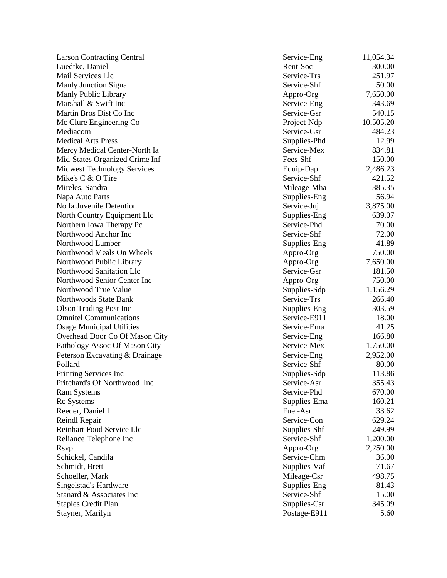| <b>Larson Contracting Central</b>  | Service-Eng  | 11,054.34 |
|------------------------------------|--------------|-----------|
| Luedtke, Daniel                    | Rent-Soc     | 300.00    |
| Mail Services Llc                  | Service-Trs  | 251.97    |
| Manly Junction Signal              | Service-Shf  | 50.00     |
| Manly Public Library               | Appro-Org    | 7,650.00  |
| Marshall & Swift Inc               | Service-Eng  | 343.69    |
| Martin Bros Dist Co Inc            | Service-Gsr  | 540.15    |
| Mc Clure Engineering Co            | Project-Ndp  | 10,505.20 |
| Mediacom                           | Service-Gsr  | 484.23    |
| <b>Medical Arts Press</b>          | Supplies-Phd | 12.99     |
| Mercy Medical Center-North Ia      | Service-Mex  | 834.81    |
| Mid-States Organized Crime Inf     | Fees-Shf     | 150.00    |
| <b>Midwest Technology Services</b> | Equip-Dap    | 2,486.23  |
| Mike's C & O Tire                  | Service-Shf  | 421.52    |
| Mireles, Sandra                    | Mileage-Mha  | 385.35    |
| Napa Auto Parts                    | Supplies-Eng | 56.94     |
| No Ia Juvenile Detention           | Service-Juj  | 3,875.00  |
| North Country Equipment Llc        | Supplies-Eng | 639.07    |
| Northern Iowa Therapy Pc           | Service-Phd  | 70.00     |
| Northwood Anchor Inc               | Service-Shf  | 72.00     |
| Northwood Lumber                   | Supplies-Eng | 41.89     |
| Northwood Meals On Wheels          | Appro-Org    | 750.00    |
| Northwood Public Library           | Appro-Org    | 7,650.00  |
| Northwood Sanitation Llc           | Service-Gsr  | 181.50    |
| Northwood Senior Center Inc        | Appro-Org    | 750.00    |
| Northwood True Value               | Supplies-Sdp | 1,156.29  |
| Northwoods State Bank              | Service-Trs  | 266.40    |
| <b>Olson Trading Post Inc</b>      | Supplies-Eng | 303.59    |
| <b>Omnitel Communications</b>      | Service-E911 | 18.00     |
| <b>Osage Municipal Utilities</b>   | Service-Ema  | 41.25     |
| Overhead Door Co Of Mason City     | Service-Eng  | 166.80    |
| Pathology Assoc Of Mason City      | Service-Mex  | 1,750.00  |
| Peterson Excavating & Drainage     | Service-Eng  | 2,952.00  |
| Pollard                            | Service-Shf  | 80.00     |
| Printing Services Inc              | Supplies-Sdp | 113.86    |
| Pritchard's Of Northwood Inc       | Service-Asr  | 355.43    |
| <b>Ram Systems</b>                 | Service-Phd  | 670.00    |
| <b>Rc</b> Systems                  | Supplies-Ema | 160.21    |
| Reeder, Daniel L                   | Fuel-Asr     | 33.62     |
| Reindl Repair                      | Service-Con  | 629.24    |
| Reinhart Food Service Llc          | Supplies-Shf | 249.99    |
| Reliance Telephone Inc             | Service-Shf  | 1,200.00  |
| <b>Rsvp</b>                        | Appro-Org    | 2,250.00  |
| Schickel, Candila                  | Service-Chm  | 36.00     |
| Schmidt, Brett                     | Supplies-Vaf | 71.67     |
| Schoeller, Mark                    | Mileage-Csr  | 498.75    |
| Singelstad's Hardware              | Supplies-Eng | 81.43     |
| Stanard & Associates Inc           | Service-Shf  | 15.00     |
| <b>Staples Credit Plan</b>         | Supplies-Csr | 345.09    |
| Stayner, Marilyn                   | Postage-E911 | 5.60      |